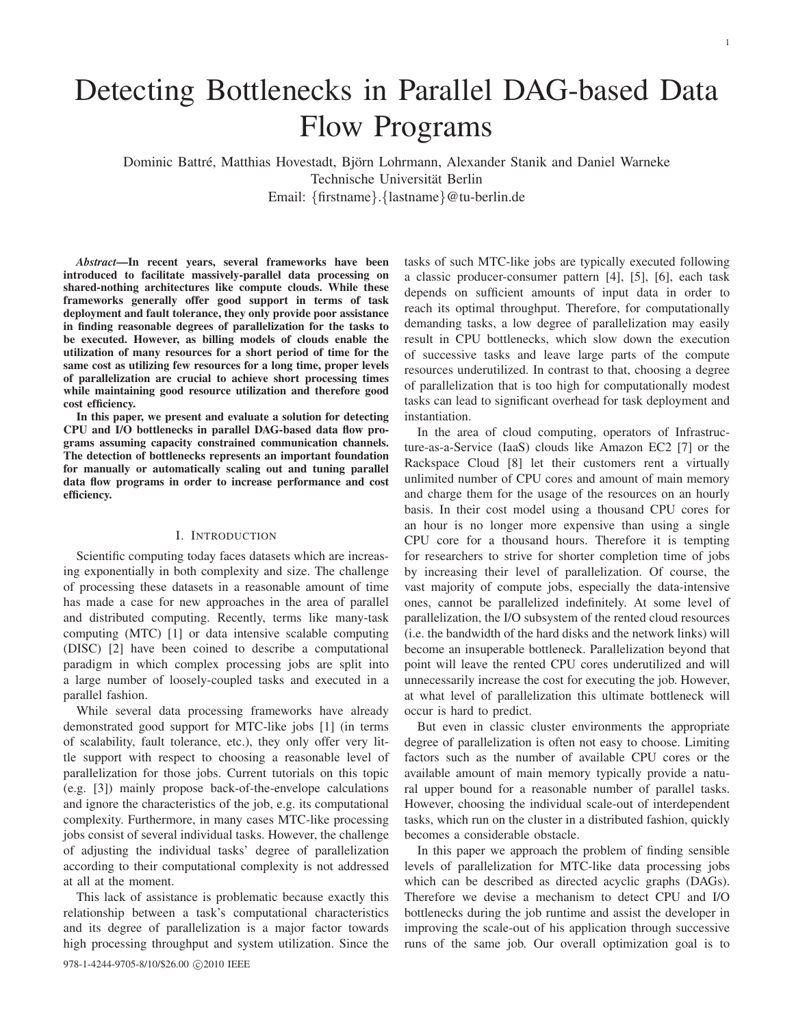1

# Detecting Bottlenecks in Parallel DAG-based Data Flow Programs

Dominic Battré, Matthias Hovestadt, Björn Lohrmann, Alexander Stanik and Daniel Warneke Technische Universität Berlin Email: {firstname}.{lastname}@tu-berlin.de

*Abstract*—In recent years, several frameworks have been introduced to facilitate massively-parallel data processing on shared-nothing architectures like compute clouds. While these frameworks generally offer good support in terms of task deployment and fault tolerance, they only provide poor assistance in finding reasonable degrees of parallelization for the tasks to be executed. However, as billing models of clouds enable the utilization of many resources for a short period of time for the same cost as utilizing few resources for a long time, proper levels of parallelization are crucial to achieve short processing times while maintaining good resource utilization and therefore good cost efficiency.

In this paper, we present and evaluate a solution for detecting CPU and I/O bottlenecks in parallel DAG-based data flow programs assuming capacity constrained communication channels. The detection of bottlenecks represents an important foundation for manually or automatically scaling out and tuning parallel data flow programs in order to increase performance and cost efficiency.

#### I. INTRODUCTION

Scientific computing today faces datasets which are increasing exponentially in both complexity and size. The challenge of processing these datasets in a reasonable amount of time has made a case for new approaches in the area of parallel and distributed computing. Recently, terms like many-task computing (MTC) [1] or data intensive scalable computing (DISC) [2] have been coined to describe a computational paradigm in which complex processing jobs are split into a large number of loosely-coupled tasks and executed in a parallel fashion.

While several data processing frameworks have already demonstrated good support for MTC-like jobs [1] (in terms of scalability, fault tolerance, etc.), they only offer very little support with respect to choosing a reasonable level of parallelization for those jobs. Current tutorials on this topic (e.g. [3]) mainly propose back-of-the-envelope calculations and ignore the characteristics of the job, e.g. its computational complexity. Furthermore, in many cases MTC-like processing jobs consist of several individual tasks. However, the challenge of adjusting the individual tasks' degree of parallelization according to their computational complexity is not addressed at all at the moment.

This lack of assistance is problematic because exactly this relationship between a task's computational characteristics and its degree of parallelization is a major factor towards high processing throughput and system utilization. Since the tasks of such MTC-like jobs are typically executed following a classic producer-consumer pattern [4], [5], [6], each task depends on sufficient amounts of input data in order to reach its optimal throughput. Therefore, for computationally demanding tasks, a low degree of parallelization may easily result in CPU bottlenecks, which slow down the execution of successive tasks and leave large parts of the compute resources underutilized. In contrast to that, choosing a degree of parallelization that is too high for computationally modest tasks can lead to significant overhead for task deployment and instantiation.

In the area of cloud computing, operators of Infrastructure-as-a-Service (IaaS) clouds like Amazon EC2 [7] or the Rackspace Cloud [8] let their customers rent a virtually unlimited number of CPU cores and amount of main memory and charge them for the usage of the resources on an hourly basis. In their cost model using a thousand CPU cores for an hour is no longer more expensive than using a single CPU core for a thousand hours. Therefore it is tempting for researchers to strive for shorter completion time of jobs by increasing their level of parallelization. Of course, the vast majority of compute jobs, especially the data-intensive ones, cannot be parallelized indefinitely. At some level of parallelization, the I/O subsystem of the rented cloud resources (i.e. the bandwidth of the hard disks and the network links) will become an insuperable bottleneck. Parallelization beyond that point will leave the rented CPU cores underutilized and will unnecessarily increase the cost for executing the job. However, at what level of parallelization this ultimate bottleneck will occur is hard to predict.

But even in classic cluster environments the appropriate degree of parallelization is often not easy to choose. Limiting factors such as the number of available CPU cores or the available amount of main memory typically provide a natural upper bound for a reasonable number of parallel tasks. However, choosing the individual scale-out of interdependent tasks, which run on the cluster in a distributed fashion, quickly becomes a considerable obstacle.

In this paper we approach the problem of finding sensible levels of parallelization for MTC-like data processing jobs which can be described as directed acyclic graphs (DAGs). Therefore we devise a mechanism to detect CPU and I/O bottlenecks during the job runtime and assist the developer in improving the scale-out of his application through successive runs of the same job. Our overall optimization goal is to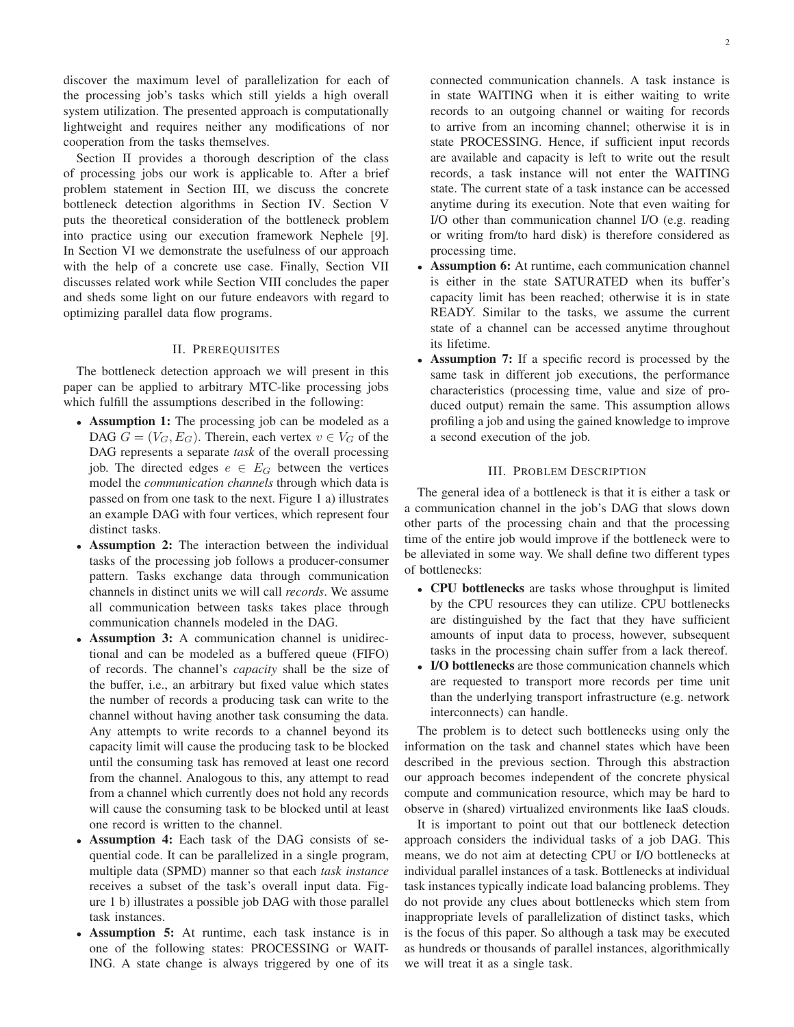discover the maximum level of parallelization for each of the processing job's tasks which still yields a high overall system utilization. The presented approach is computationally lightweight and requires neither any modifications of nor cooperation from the tasks themselves.

Section II provides a thorough description of the class of processing jobs our work is applicable to. After a brief problem statement in Section III, we discuss the concrete bottleneck detection algorithms in Section IV. Section V puts the theoretical consideration of the bottleneck problem into practice using our execution framework Nephele [9]. In Section VI we demonstrate the usefulness of our approach with the help of a concrete use case. Finally, Section VII discusses related work while Section VIII concludes the paper and sheds some light on our future endeavors with regard to optimizing parallel data flow programs.

## II. PREREQUISITES

The bottleneck detection approach we will present in this paper can be applied to arbitrary MTC-like processing jobs which fulfill the assumptions described in the following:

- Assumption 1: The processing job can be modeled as a DAG  $G = (V_G, E_G)$ . Therein, each vertex  $v \in V_G$  of the DAG represents a separate *task* of the overall processing job. The directed edges  $e \in E_G$  between the vertices model the *communication channels* through which data is passed on from one task to the next. Figure 1 a) illustrates an example DAG with four vertices, which represent four distinct tasks.
- Assumption 2: The interaction between the individual tasks of the processing job follows a producer-consumer pattern. Tasks exchange data through communication channels in distinct units we will call *records*. We assume all communication between tasks takes place through communication channels modeled in the DAG.
- Assumption 3: A communication channel is unidirectional and can be modeled as a buffered queue (FIFO) of records. The channel's *capacity* shall be the size of the buffer, i.e., an arbitrary but fixed value which states the number of records a producing task can write to the channel without having another task consuming the data. Any attempts to write records to a channel beyond its capacity limit will cause the producing task to be blocked until the consuming task has removed at least one record from the channel. Analogous to this, any attempt to read from a channel which currently does not hold any records will cause the consuming task to be blocked until at least one record is written to the channel.
- Assumption 4: Each task of the DAG consists of sequential code. It can be parallelized in a single program, multiple data (SPMD) manner so that each *task instance* receives a subset of the task's overall input data. Figure 1 b) illustrates a possible job DAG with those parallel task instances.
- Assumption 5: At runtime, each task instance is in one of the following states: PROCESSING or WAIT-ING. A state change is always triggered by one of its

connected communication channels. A task instance is in state WAITING when it is either waiting to write records to an outgoing channel or waiting for records to arrive from an incoming channel; otherwise it is in state PROCESSING. Hence, if sufficient input records are available and capacity is left to write out the result records, a task instance will not enter the WAITING state. The current state of a task instance can be accessed anytime during its execution. Note that even waiting for I/O other than communication channel I/O (e.g. reading or writing from/to hard disk) is therefore considered as processing time.

- Assumption 6: At runtime, each communication channel is either in the state SATURATED when its buffer's capacity limit has been reached; otherwise it is in state READY. Similar to the tasks, we assume the current state of a channel can be accessed anytime throughout its lifetime.
- Assumption 7: If a specific record is processed by the same task in different job executions, the performance characteristics (processing time, value and size of produced output) remain the same. This assumption allows profiling a job and using the gained knowledge to improve a second execution of the job.

#### III. PROBLEM DESCRIPTION

The general idea of a bottleneck is that it is either a task or a communication channel in the job's DAG that slows down other parts of the processing chain and that the processing time of the entire job would improve if the bottleneck were to be alleviated in some way. We shall define two different types of bottlenecks:

- CPU bottlenecks are tasks whose throughput is limited by the CPU resources they can utilize. CPU bottlenecks are distinguished by the fact that they have sufficient amounts of input data to process, however, subsequent tasks in the processing chain suffer from a lack thereof.
- I/O bottlenecks are those communication channels which are requested to transport more records per time unit than the underlying transport infrastructure (e.g. network interconnects) can handle.

The problem is to detect such bottlenecks using only the information on the task and channel states which have been described in the previous section. Through this abstraction our approach becomes independent of the concrete physical compute and communication resource, which may be hard to observe in (shared) virtualized environments like IaaS clouds.

It is important to point out that our bottleneck detection approach considers the individual tasks of a job DAG. This means, we do not aim at detecting CPU or I/O bottlenecks at individual parallel instances of a task. Bottlenecks at individual task instances typically indicate load balancing problems. They do not provide any clues about bottlenecks which stem from inappropriate levels of parallelization of distinct tasks, which is the focus of this paper. So although a task may be executed as hundreds or thousands of parallel instances, algorithmically we will treat it as a single task.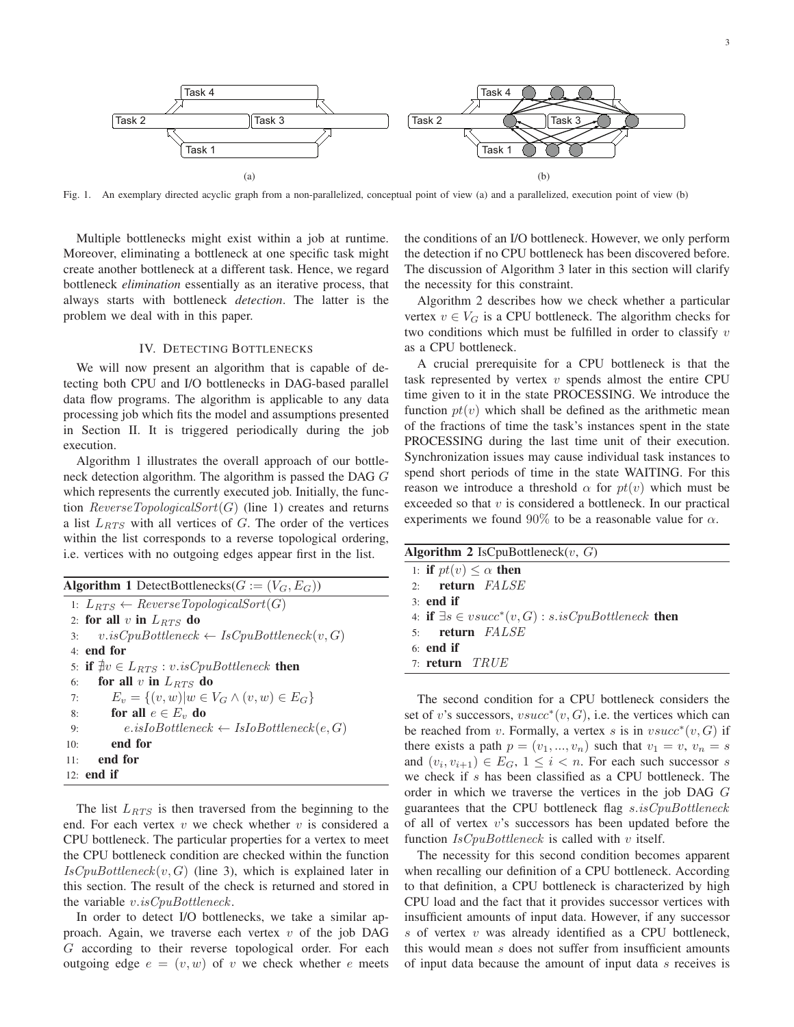

Fig. 1. An exemplary directed acyclic graph from a non-parallelized, conceptual point of view (a) and a parallelized, execution point of view (b)

Multiple bottlenecks might exist within a job at runtime. Moreover, eliminating a bottleneck at one specific task might create another bottleneck at a different task. Hence, we regard bottleneck *elimination* essentially as an iterative process, that always starts with bottleneck *detection*. The latter is the problem we deal with in this paper.

#### IV. DETECTING BOTTLENECKS

We will now present an algorithm that is capable of detecting both CPU and I/O bottlenecks in DAG-based parallel data flow programs. The algorithm is applicable to any data processing job which fits the model and assumptions presented in Section II. It is triggered periodically during the job execution.

Algorithm 1 illustrates the overall approach of our bottleneck detection algorithm. The algorithm is passed the DAG G which represents the currently executed job. Initially, the function  $ReverseTopologicalSort(G)$  (line 1) creates and returns a list  $L_{RTS}$  with all vertices of G. The order of the vertices within the list corresponds to a reverse topological ordering, i.e. vertices with no outgoing edges appear first in the list.

**Algorithm 1** DetectBottlenecks( $G := (V_G, E_G)$ ) 1:  $L_{RTS} \leftarrow ReverseTopologicalSort(G)$ 2: for all  $v$  in  $L_{RTS}$  do 3:  $v.isCpuBottleneck \leftarrow IsCpuBottleneck(v, G)$ 4: end for 5: if  $\forall v \in L_{RTS} : v.isCpuBottleneck$  then<br>6. for all v in Lags do. 6: for all  $v$  in  $L_{RTS}$  do 7:  $E_v = \{(v, w) | w \in V_G \land (v, w) \in E_G\}$ 8: for all  $e \in E_v$  do 9:  $e.isIoBottleneck \leftarrow IsIoBottleneck(e, G)$ <br>10: **end for** end for 11: end for 12: end if

The list  $L_{RTS}$  is then traversed from the beginning to the end. For each vertex  $v$  we check whether  $v$  is considered a CPU bottleneck. The particular properties for a vertex to meet the CPU bottleneck condition are checked within the function  $IsCpuBottleneck(v, G)$  (line 3), which is explained later in this section. The result of the check is returned and stored in the variable  $v.isCpuBottleneck$ .

In order to detect I/O bottlenecks, we take a similar approach. Again, we traverse each vertex  $v$  of the job DAG G according to their reverse topological order. For each outgoing edge  $e = (v, w)$  of v we check whether e meets the conditions of an I/O bottleneck. However, we only perform the detection if no CPU bottleneck has been discovered before. The discussion of Algorithm 3 later in this section will clarify the necessity for this constraint.

Algorithm 2 describes how we check whether a particular vertex  $v \in V_G$  is a CPU bottleneck. The algorithm checks for two conditions which must be fulfilled in order to classify  $v$ as a CPU bottleneck.

A crucial prerequisite for a CPU bottleneck is that the task represented by vertex  $v$  spends almost the entire CPU time given to it in the state PROCESSING. We introduce the function  $pt(v)$  which shall be defined as the arithmetic mean of the fractions of time the task's instances spent in the state PROCESSING during the last time unit of their execution. Synchronization issues may cause individual task instances to spend short periods of time in the state WAITING. For this reason we introduce a threshold  $\alpha$  for  $pt(v)$  which must be exceeded so that  $v$  is considered a bottleneck. In our practical experiments we found 90% to be a reasonable value for  $\alpha$ .

| <b>Algorithm 2</b> IsCpuBottleneck $(v, G)$                  |
|--------------------------------------------------------------|
| 1: if $pt(v) \leq \alpha$ then                               |
| 2: return $FALSE$                                            |
| $3:$ end if                                                  |
| 4: if $\exists s \in vsucc^*(v, G) : s.isCpuBottleneck$ then |
| 5: return FALSE                                              |
| $6$ end if                                                   |
| 7: $return$ $TRUE$                                           |
|                                                              |

The second condition for a CPU bottleneck considers the set of v's successors,  $vsucc^*(v, G)$ , i.e. the vertices which can be reached from v. Formally, a vertex s is in  $vsucc^*(v, G)$  if there exists a path  $p = (v_1, ..., v_n)$  such that  $v_1 = v$ ,  $v_n = s$ and  $(v_i, v_{i+1}) \in E_G$ ,  $1 \leq i < n$ . For each such successor s we check if s has been classified as a CPU bottleneck. The order in which we traverse the vertices in the job DAG G guarantees that the CPU bottleneck flag s.isCpuBottleneck of all of vertex v's successors has been updated before the function  $IsCpuBottleneck$  is called with v itself.

The necessity for this second condition becomes apparent when recalling our definition of a CPU bottleneck. According to that definition, a CPU bottleneck is characterized by high CPU load and the fact that it provides successor vertices with insufficient amounts of input data. However, if any successor  $s$  of vertex  $v$  was already identified as a CPU bottleneck, this would mean s does not suffer from insufficient amounts of input data because the amount of input data s receives is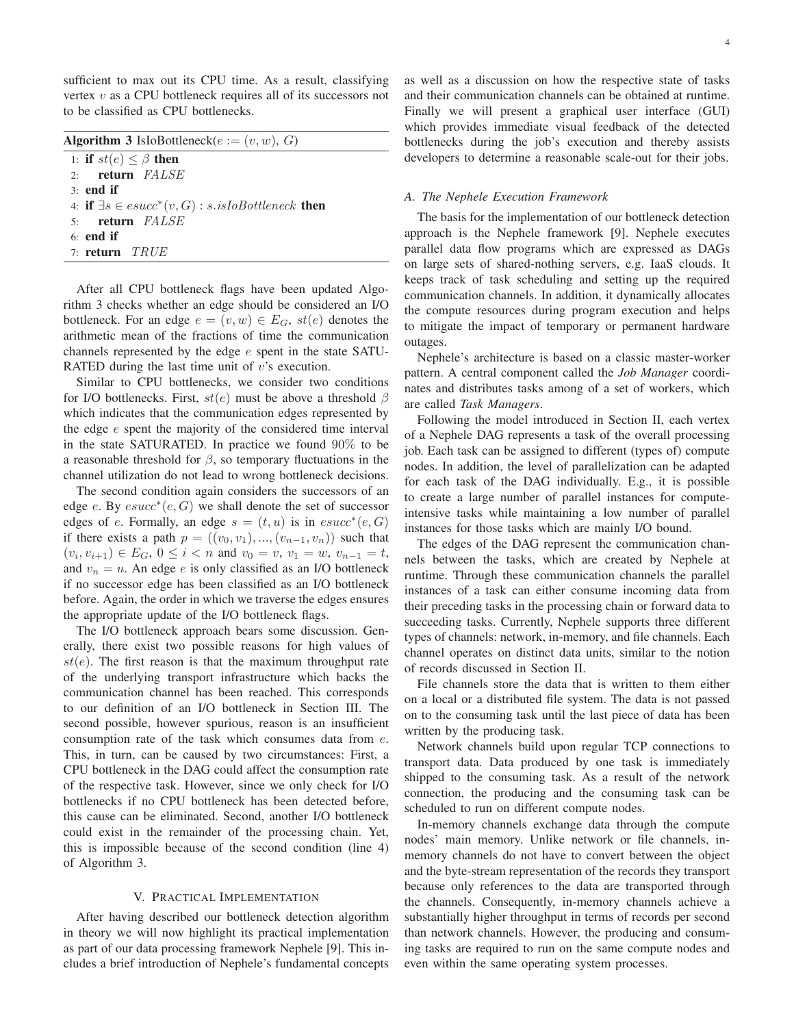sufficient to max out its CPU time. As a result, classifying vertex v as a CPU bottleneck requires all of its successors not to be classified as CPU bottlenecks.

| <b>Algorithm 3</b> IsloBottleneck( $e := (v, w)$ , G) |                                                                                     |  |
|-------------------------------------------------------|-------------------------------------------------------------------------------------|--|
|                                                       | 1: if $st(e) \leq \beta$ then                                                       |  |
|                                                       | 2: $return$ $FALSE$                                                                 |  |
|                                                       | $3:$ end if                                                                         |  |
|                                                       | 4: if $\exists s \in \text{esucc}^*(v, G) : s.isIoBott \text{le} n \text{ech}$ then |  |
|                                                       | 5: return FALSE                                                                     |  |
|                                                       | $6:$ end if                                                                         |  |
|                                                       | 7: return TRUE                                                                      |  |
|                                                       |                                                                                     |  |

After all CPU bottleneck flags have been updated Algorithm 3 checks whether an edge should be considered an I/O bottleneck. For an edge  $e = (v, w) \in E_G$ ,  $st(e)$  denotes the arithmetic mean of the fractions of time the communication channels represented by the edge e spent in the state SATU-RATED during the last time unit of  $v$ 's execution.

Similar to CPU bottlenecks, we consider two conditions for I/O bottlenecks. First,  $st(e)$  must be above a threshold  $\beta$ which indicates that the communication edges represented by the edge e spent the majority of the considered time interval in the state SATURATED. In practice we found 90% to be a reasonable threshold for  $\beta$ , so temporary fluctuations in the channel utilization do not lead to wrong bottleneck decisions.

The second condition again considers the successors of an edge e. By  $\text{esucc}^*(e, G)$  we shall denote the set of successor edges of e. Formally, an edge  $s = (t, u)$  is in  $\textit{esucc}^*(e, G)$ if there exists a path  $p = ((v_0, v_1), ..., (v_{n-1}, v_n))$  such that  $(v_i, v_{i+1}) \in E_G$ ,  $0 \leq i < n$  and  $v_0 = v$ ,  $v_1 = w$ ,  $v_{n-1} = t$ , and  $v_n = u$ . An edge e is only classified as an I/O bottleneck if no successor edge has been classified as an I/O bottleneck before. Again, the order in which we traverse the edges ensures the appropriate update of the I/O bottleneck flags.

The I/O bottleneck approach bears some discussion. Generally, there exist two possible reasons for high values of  $st(e)$ . The first reason is that the maximum throughput rate of the underlying transport infrastructure which backs the communication channel has been reached. This corresponds to our definition of an I/O bottleneck in Section III. The second possible, however spurious, reason is an insufficient consumption rate of the task which consumes data from e. This, in turn, can be caused by two circumstances: First, a CPU bottleneck in the DAG could affect the consumption rate of the respective task. However, since we only check for I/O bottlenecks if no CPU bottleneck has been detected before, this cause can be eliminated. Second, another I/O bottleneck could exist in the remainder of the processing chain. Yet, this is impossible because of the second condition (line 4) of Algorithm 3.

#### V. PRACTICAL IMPLEMENTATION

After having described our bottleneck detection algorithm in theory we will now highlight its practical implementation as part of our data processing framework Nephele [9]. This includes a brief introduction of Nephele's fundamental concepts as well as a discussion on how the respective state of tasks and their communication channels can be obtained at runtime. Finally we will present a graphical user interface (GUI) which provides immediate visual feedback of the detected bottlenecks during the job's execution and thereby assists developers to determine a reasonable scale-out for their jobs.

#### *A. The Nephele Execution Framework*

The basis for the implementation of our bottleneck detection approach is the Nephele framework [9]. Nephele executes parallel data flow programs which are expressed as DAGs on large sets of shared-nothing servers, e.g. IaaS clouds. It keeps track of task scheduling and setting up the required communication channels. In addition, it dynamically allocates the compute resources during program execution and helps to mitigate the impact of temporary or permanent hardware outages.

Nephele's architecture is based on a classic master-worker pattern. A central component called the *Job Manager* coordinates and distributes tasks among of a set of workers, which are called *Task Managers*.

Following the model introduced in Section II, each vertex of a Nephele DAG represents a task of the overall processing job. Each task can be assigned to different (types of) compute nodes. In addition, the level of parallelization can be adapted for each task of the DAG individually. E.g., it is possible to create a large number of parallel instances for computeintensive tasks while maintaining a low number of parallel instances for those tasks which are mainly I/O bound.

The edges of the DAG represent the communication channels between the tasks, which are created by Nephele at runtime. Through these communication channels the parallel instances of a task can either consume incoming data from their preceding tasks in the processing chain or forward data to succeeding tasks. Currently, Nephele supports three different types of channels: network, in-memory, and file channels. Each channel operates on distinct data units, similar to the notion of records discussed in Section II.

File channels store the data that is written to them either on a local or a distributed file system. The data is not passed on to the consuming task until the last piece of data has been written by the producing task.

Network channels build upon regular TCP connections to transport data. Data produced by one task is immediately shipped to the consuming task. As a result of the network connection, the producing and the consuming task can be scheduled to run on different compute nodes.

In-memory channels exchange data through the compute nodes' main memory. Unlike network or file channels, inmemory channels do not have to convert between the object and the byte-stream representation of the records they transport because only references to the data are transported through the channels. Consequently, in-memory channels achieve a substantially higher throughput in terms of records per second than network channels. However, the producing and consuming tasks are required to run on the same compute nodes and even within the same operating system processes.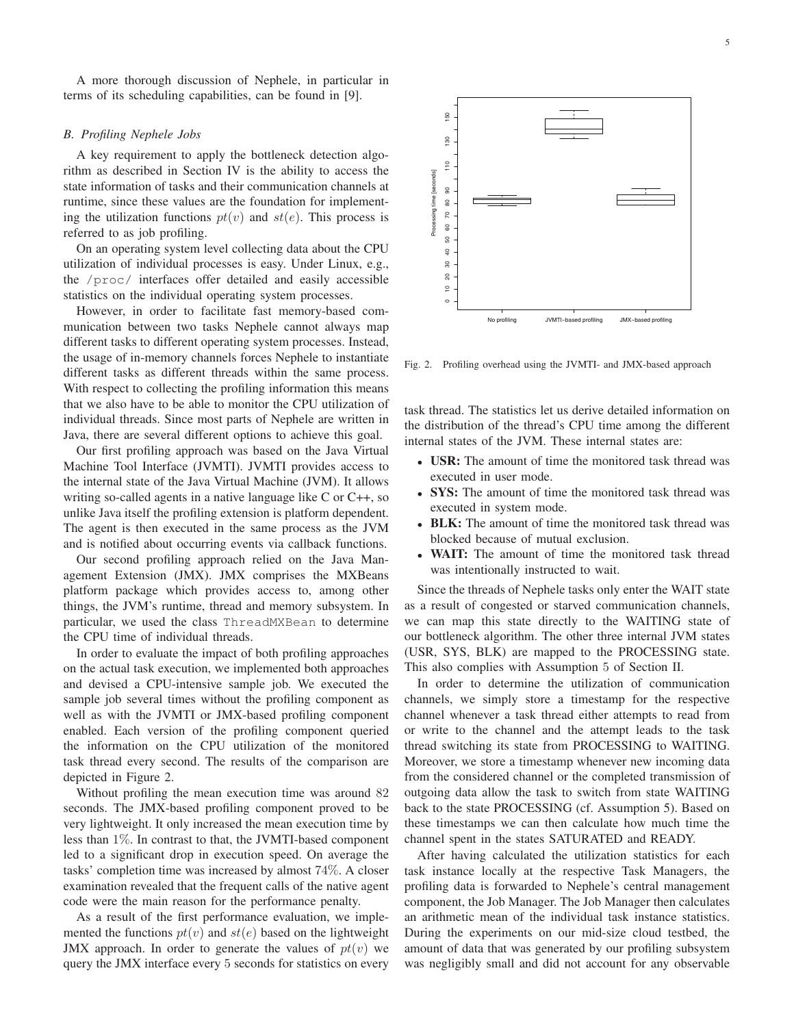A more thorough discussion of Nephele, in particular in terms of its scheduling capabilities, can be found in [9].

## *B. Profiling Nephele Jobs*

A key requirement to apply the bottleneck detection algorithm as described in Section IV is the ability to access the state information of tasks and their communication channels at runtime, since these values are the foundation for implementing the utilization functions  $pt(v)$  and  $st(e)$ . This process is referred to as job profiling.

On an operating system level collecting data about the CPU utilization of individual processes is easy. Under Linux, e.g., the /proc/ interfaces offer detailed and easily accessible statistics on the individual operating system processes.

However, in order to facilitate fast memory-based communication between two tasks Nephele cannot always map different tasks to different operating system processes. Instead, the usage of in-memory channels forces Nephele to instantiate different tasks as different threads within the same process. With respect to collecting the profiling information this means that we also have to be able to monitor the CPU utilization of individual threads. Since most parts of Nephele are written in Java, there are several different options to achieve this goal.

Our first profiling approach was based on the Java Virtual Machine Tool Interface (JVMTI). JVMTI provides access to the internal state of the Java Virtual Machine (JVM). It allows writing so-called agents in a native language like C or C++, so unlike Java itself the profiling extension is platform dependent. The agent is then executed in the same process as the JVM and is notified about occurring events via callback functions.

Our second profiling approach relied on the Java Management Extension (JMX). JMX comprises the MXBeans platform package which provides access to, among other things, the JVM's runtime, thread and memory subsystem. In particular, we used the class ThreadMXBean to determine the CPU time of individual threads.

In order to evaluate the impact of both profiling approaches on the actual task execution, we implemented both approaches and devised a CPU-intensive sample job. We executed the sample job several times without the profiling component as well as with the JVMTI or JMX-based profiling component enabled. Each version of the profiling component queried the information on the CPU utilization of the monitored task thread every second. The results of the comparison are depicted in Figure 2.

Without profiling the mean execution time was around 82 seconds. The JMX-based profiling component proved to be very lightweight. It only increased the mean execution time by less than 1%. In contrast to that, the JVMTI-based component led to a significant drop in execution speed. On average the tasks' completion time was increased by almost 74%. A closer examination revealed that the frequent calls of the native agent code were the main reason for the performance penalty.

As a result of the first performance evaluation, we implemented the functions  $pt(v)$  and  $st(e)$  based on the lightweight JMX approach. In order to generate the values of  $pt(v)$  we query the JMX interface every 5 seconds for statistics on every



Fig. 2. Profiling overhead using the JVMTI- and JMX-based approach

task thread. The statistics let us derive detailed information on the distribution of the thread's CPU time among the different internal states of the JVM. These internal states are:

- USR: The amount of time the monitored task thread was executed in user mode.
- **SYS:** The amount of time the monitored task thread was executed in system mode.
- BLK: The amount of time the monitored task thread was blocked because of mutual exclusion.
- WAIT: The amount of time the monitored task thread was intentionally instructed to wait.

Since the threads of Nephele tasks only enter the WAIT state as a result of congested or starved communication channels, we can map this state directly to the WAITING state of our bottleneck algorithm. The other three internal JVM states (USR, SYS, BLK) are mapped to the PROCESSING state. This also complies with Assumption 5 of Section II.

In order to determine the utilization of communication channels, we simply store a timestamp for the respective channel whenever a task thread either attempts to read from or write to the channel and the attempt leads to the task thread switching its state from PROCESSING to WAITING. Moreover, we store a timestamp whenever new incoming data from the considered channel or the completed transmission of outgoing data allow the task to switch from state WAITING back to the state PROCESSING (cf. Assumption 5). Based on these timestamps we can then calculate how much time the channel spent in the states SATURATED and READY.

After having calculated the utilization statistics for each task instance locally at the respective Task Managers, the profiling data is forwarded to Nephele's central management component, the Job Manager. The Job Manager then calculates an arithmetic mean of the individual task instance statistics. During the experiments on our mid-size cloud testbed, the amount of data that was generated by our profiling subsystem was negligibly small and did not account for any observable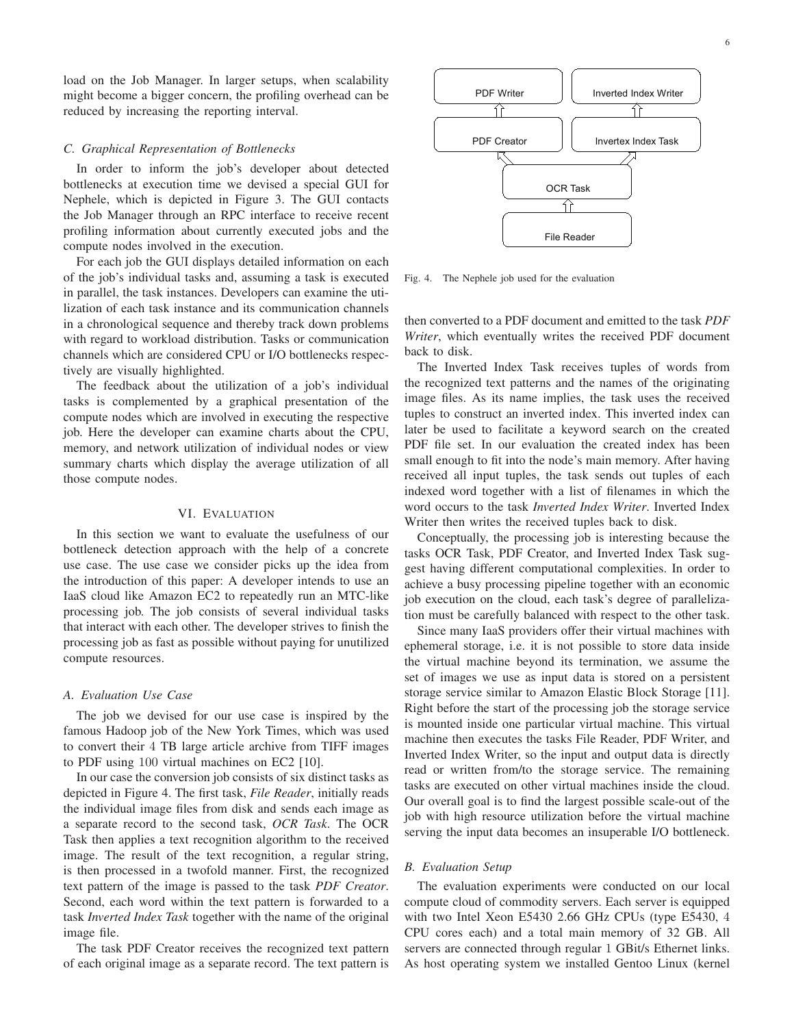load on the Job Manager. In larger setups, when scalability might become a bigger concern, the profiling overhead can be reduced by increasing the reporting interval.

## *C. Graphical Representation of Bottlenecks*

In order to inform the job's developer about detected bottlenecks at execution time we devised a special GUI for Nephele, which is depicted in Figure 3. The GUI contacts the Job Manager through an RPC interface to receive recent profiling information about currently executed jobs and the compute nodes involved in the execution.

For each job the GUI displays detailed information on each of the job's individual tasks and, assuming a task is executed in parallel, the task instances. Developers can examine the utilization of each task instance and its communication channels in a chronological sequence and thereby track down problems with regard to workload distribution. Tasks or communication channels which are considered CPU or I/O bottlenecks respectively are visually highlighted.

The feedback about the utilization of a job's individual tasks is complemented by a graphical presentation of the compute nodes which are involved in executing the respective job. Here the developer can examine charts about the CPU, memory, and network utilization of individual nodes or view summary charts which display the average utilization of all those compute nodes.

#### VI. EVALUATION

In this section we want to evaluate the usefulness of our bottleneck detection approach with the help of a concrete use case. The use case we consider picks up the idea from the introduction of this paper: A developer intends to use an IaaS cloud like Amazon EC2 to repeatedly run an MTC-like processing job. The job consists of several individual tasks that interact with each other. The developer strives to finish the processing job as fast as possible without paying for unutilized compute resources.

## *A. Evaluation Use Case*

The job we devised for our use case is inspired by the famous Hadoop job of the New York Times, which was used to convert their 4 TB large article archive from TIFF images to PDF using 100 virtual machines on EC2 [10].

In our case the conversion job consists of six distinct tasks as depicted in Figure 4. The first task, *File Reader*, initially reads the individual image files from disk and sends each image as a separate record to the second task, *OCR Task*. The OCR Task then applies a text recognition algorithm to the received image. The result of the text recognition, a regular string, is then processed in a twofold manner. First, the recognized text pattern of the image is passed to the task *PDF Creator*. Second, each word within the text pattern is forwarded to a task *Inverted Index Task* together with the name of the original image file.

The task PDF Creator receives the recognized text pattern of each original image as a separate record. The text pattern is



Fig. 4. The Nephele job used for the evaluation

then converted to a PDF document and emitted to the task *PDF Writer*, which eventually writes the received PDF document back to disk.

The Inverted Index Task receives tuples of words from the recognized text patterns and the names of the originating image files. As its name implies, the task uses the received tuples to construct an inverted index. This inverted index can later be used to facilitate a keyword search on the created PDF file set. In our evaluation the created index has been small enough to fit into the node's main memory. After having received all input tuples, the task sends out tuples of each indexed word together with a list of filenames in which the word occurs to the task *Inverted Index Writer*. Inverted Index Writer then writes the received tuples back to disk.

Conceptually, the processing job is interesting because the tasks OCR Task, PDF Creator, and Inverted Index Task suggest having different computational complexities. In order to achieve a busy processing pipeline together with an economic job execution on the cloud, each task's degree of parallelization must be carefully balanced with respect to the other task.

Since many IaaS providers offer their virtual machines with ephemeral storage, i.e. it is not possible to store data inside the virtual machine beyond its termination, we assume the set of images we use as input data is stored on a persistent storage service similar to Amazon Elastic Block Storage [11]. Right before the start of the processing job the storage service is mounted inside one particular virtual machine. This virtual machine then executes the tasks File Reader, PDF Writer, and Inverted Index Writer, so the input and output data is directly read or written from/to the storage service. The remaining tasks are executed on other virtual machines inside the cloud. Our overall goal is to find the largest possible scale-out of the job with high resource utilization before the virtual machine serving the input data becomes an insuperable I/O bottleneck.

### *B. Evaluation Setup*

The evaluation experiments were conducted on our local compute cloud of commodity servers. Each server is equipped with two Intel Xeon E5430 2.66 GHz CPUs (type E5430, 4 CPU cores each) and a total main memory of 32 GB. All servers are connected through regular 1 GBit/s Ethernet links. As host operating system we installed Gentoo Linux (kernel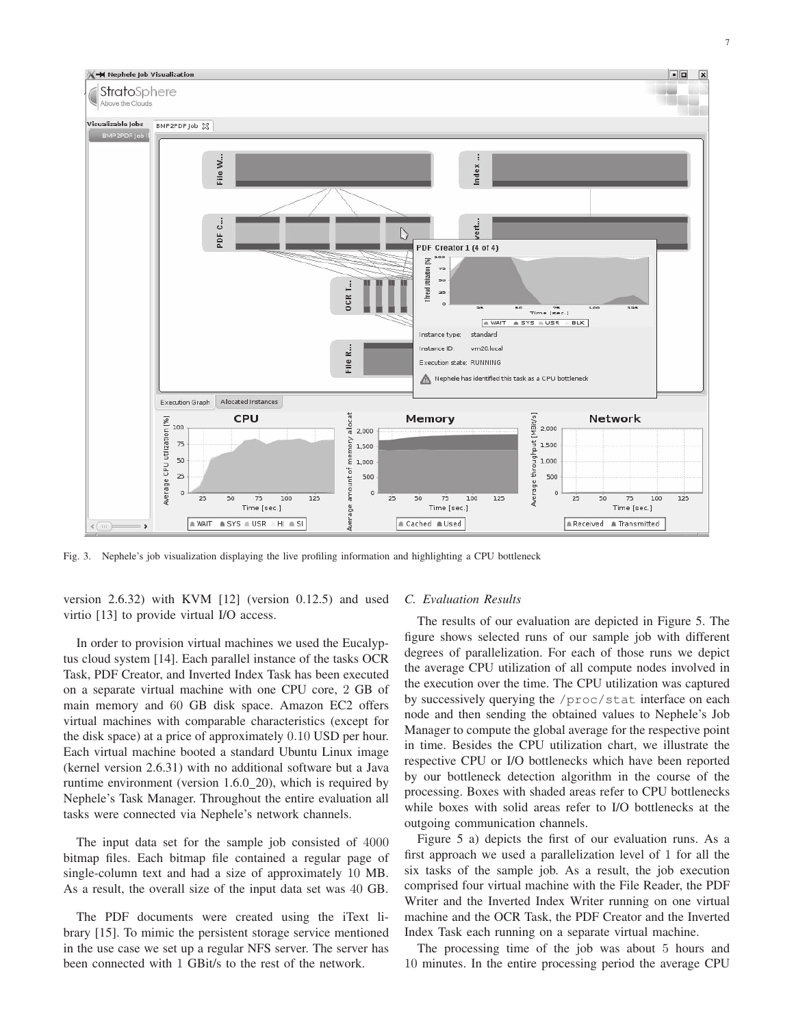

Fig. 3. Nephele's job visualization displaying the live profiling information and highlighting a CPU bottleneck

version 2.6.32) with KVM [12] (version 0.12.5) and used virtio [13] to provide virtual I/O access.

In order to provision virtual machines we used the Eucalyptus cloud system [14]. Each parallel instance of the tasks OCR Task, PDF Creator, and Inverted Index Task has been executed on a separate virtual machine with one CPU core, 2 GB of main memory and 60 GB disk space. Amazon EC2 offers virtual machines with comparable characteristics (except for the disk space) at a price of approximately 0.10 USD per hour. Each virtual machine booted a standard Ubuntu Linux image (kernel version 2.6.31) with no additional software but a Java runtime environment (version 1.6.0 20), which is required by Nephele's Task Manager. Throughout the entire evaluation all tasks were connected via Nephele's network channels.

The input data set for the sample job consisted of 4000 bitmap files. Each bitmap file contained a regular page of single-column text and had a size of approximately 10 MB. As a result, the overall size of the input data set was 40 GB.

The PDF documents were created using the iText library [15]. To mimic the persistent storage service mentioned in the use case we set up a regular NFS server. The server has been connected with 1 GBit/s to the rest of the network.

## *C. Evaluation Results*

The results of our evaluation are depicted in Figure 5. The figure shows selected runs of our sample job with different degrees of parallelization. For each of those runs we depict the average CPU utilization of all compute nodes involved in the execution over the time. The CPU utilization was captured by successively querying the /proc/stat interface on each node and then sending the obtained values to Nephele's Job Manager to compute the global average for the respective point in time. Besides the CPU utilization chart, we illustrate the respective CPU or I/O bottlenecks which have been reported by our bottleneck detection algorithm in the course of the processing. Boxes with shaded areas refer to CPU bottlenecks while boxes with solid areas refer to I/O bottlenecks at the outgoing communication channels.

Figure 5 a) depicts the first of our evaluation runs. As a first approach we used a parallelization level of 1 for all the six tasks of the sample job. As a result, the job execution comprised four virtual machine with the File Reader, the PDF Writer and the Inverted Index Writer running on one virtual machine and the OCR Task, the PDF Creator and the Inverted Index Task each running on a separate virtual machine.

The processing time of the job was about 5 hours and 10 minutes. In the entire processing period the average CPU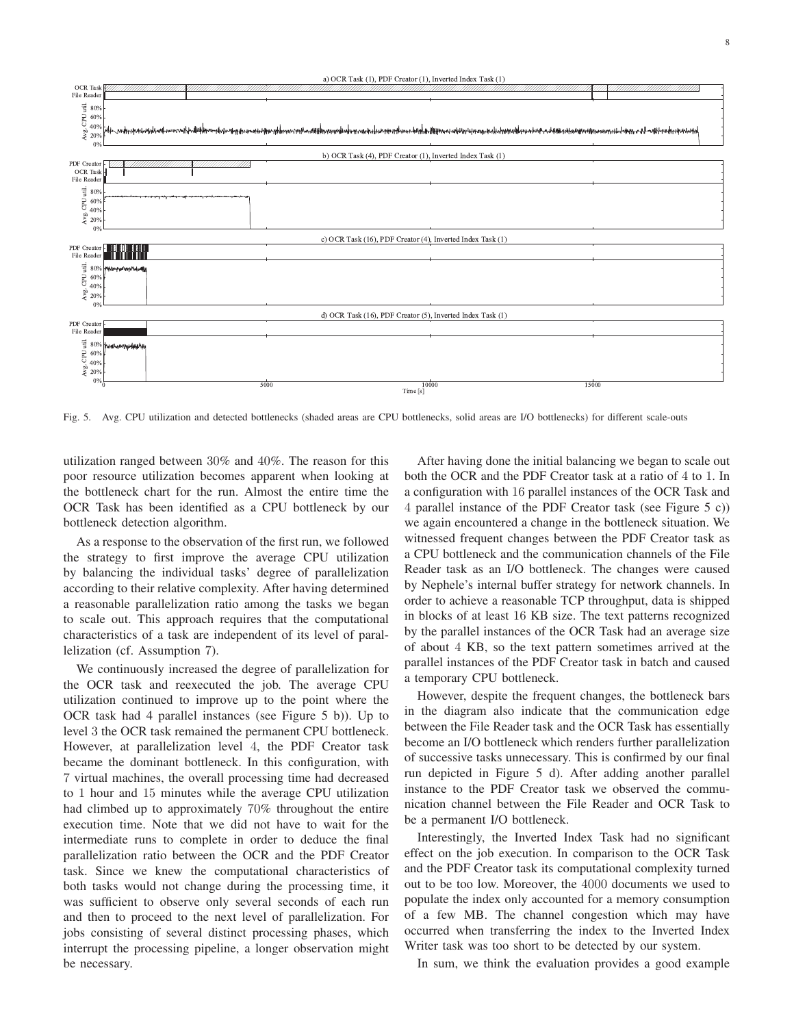

Fig. 5. Avg. CPU utilization and detected bottlenecks (shaded areas are CPU bottlenecks, solid areas are I/O bottlenecks) for different scale-outs

utilization ranged between 30% and 40%. The reason for this poor resource utilization becomes apparent when looking at the bottleneck chart for the run. Almost the entire time the OCR Task has been identified as a CPU bottleneck by our bottleneck detection algorithm.

As a response to the observation of the first run, we followed the strategy to first improve the average CPU utilization by balancing the individual tasks' degree of parallelization according to their relative complexity. After having determined a reasonable parallelization ratio among the tasks we began to scale out. This approach requires that the computational characteristics of a task are independent of its level of parallelization (cf. Assumption 7).

We continuously increased the degree of parallelization for the OCR task and reexecuted the job. The average CPU utilization continued to improve up to the point where the OCR task had 4 parallel instances (see Figure 5 b)). Up to level 3 the OCR task remained the permanent CPU bottleneck. However, at parallelization level 4, the PDF Creator task became the dominant bottleneck. In this configuration, with 7 virtual machines, the overall processing time had decreased to 1 hour and 15 minutes while the average CPU utilization had climbed up to approximately 70% throughout the entire execution time. Note that we did not have to wait for the intermediate runs to complete in order to deduce the final parallelization ratio between the OCR and the PDF Creator task. Since we knew the computational characteristics of both tasks would not change during the processing time, it was sufficient to observe only several seconds of each run and then to proceed to the next level of parallelization. For jobs consisting of several distinct processing phases, which interrupt the processing pipeline, a longer observation might be necessary.

After having done the initial balancing we began to scale out both the OCR and the PDF Creator task at a ratio of 4 to 1. In a configuration with 16 parallel instances of the OCR Task and 4 parallel instance of the PDF Creator task (see Figure 5 c)) we again encountered a change in the bottleneck situation. We witnessed frequent changes between the PDF Creator task as a CPU bottleneck and the communication channels of the File Reader task as an I/O bottleneck. The changes were caused by Nephele's internal buffer strategy for network channels. In order to achieve a reasonable TCP throughput, data is shipped in blocks of at least 16 KB size. The text patterns recognized by the parallel instances of the OCR Task had an average size of about 4 KB, so the text pattern sometimes arrived at the parallel instances of the PDF Creator task in batch and caused a temporary CPU bottleneck.

However, despite the frequent changes, the bottleneck bars in the diagram also indicate that the communication edge between the File Reader task and the OCR Task has essentially become an I/O bottleneck which renders further parallelization of successive tasks unnecessary. This is confirmed by our final run depicted in Figure 5 d). After adding another parallel instance to the PDF Creator task we observed the communication channel between the File Reader and OCR Task to be a permanent I/O bottleneck.

Interestingly, the Inverted Index Task had no significant effect on the job execution. In comparison to the OCR Task and the PDF Creator task its computational complexity turned out to be too low. Moreover, the 4000 documents we used to populate the index only accounted for a memory consumption of a few MB. The channel congestion which may have occurred when transferring the index to the Inverted Index Writer task was too short to be detected by our system.

In sum, we think the evaluation provides a good example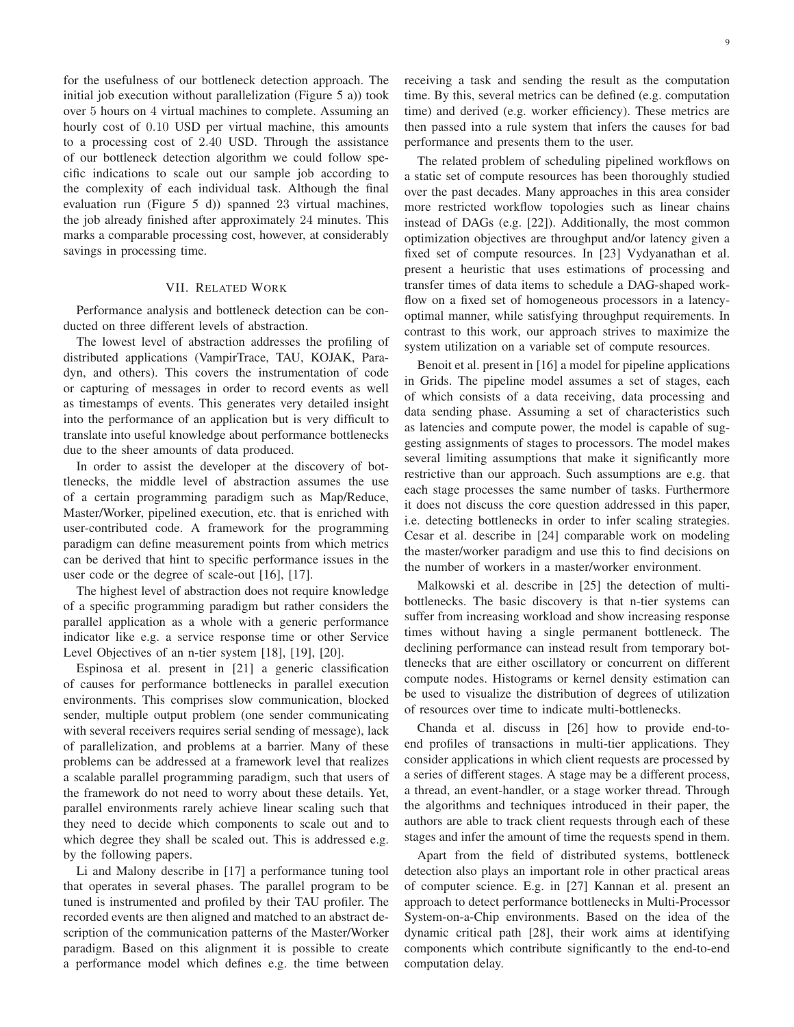for the usefulness of our bottleneck detection approach. The initial job execution without parallelization (Figure 5 a)) took over 5 hours on 4 virtual machines to complete. Assuming an hourly cost of 0.10 USD per virtual machine, this amounts to a processing cost of 2.40 USD. Through the assistance of our bottleneck detection algorithm we could follow specific indications to scale out our sample job according to the complexity of each individual task. Although the final evaluation run (Figure 5 d)) spanned 23 virtual machines, the job already finished after approximately 24 minutes. This marks a comparable processing cost, however, at considerably savings in processing time.

## VII. RELATED WORK

Performance analysis and bottleneck detection can be conducted on three different levels of abstraction.

The lowest level of abstraction addresses the profiling of distributed applications (VampirTrace, TAU, KOJAK, Paradyn, and others). This covers the instrumentation of code or capturing of messages in order to record events as well as timestamps of events. This generates very detailed insight into the performance of an application but is very difficult to translate into useful knowledge about performance bottlenecks due to the sheer amounts of data produced.

In order to assist the developer at the discovery of bottlenecks, the middle level of abstraction assumes the use of a certain programming paradigm such as Map/Reduce, Master/Worker, pipelined execution, etc. that is enriched with user-contributed code. A framework for the programming paradigm can define measurement points from which metrics can be derived that hint to specific performance issues in the user code or the degree of scale-out [16], [17].

The highest level of abstraction does not require knowledge of a specific programming paradigm but rather considers the parallel application as a whole with a generic performance indicator like e.g. a service response time or other Service Level Objectives of an n-tier system [18], [19], [20].

Espinosa et al. present in [21] a generic classification of causes for performance bottlenecks in parallel execution environments. This comprises slow communication, blocked sender, multiple output problem (one sender communicating with several receivers requires serial sending of message), lack of parallelization, and problems at a barrier. Many of these problems can be addressed at a framework level that realizes a scalable parallel programming paradigm, such that users of the framework do not need to worry about these details. Yet, parallel environments rarely achieve linear scaling such that they need to decide which components to scale out and to which degree they shall be scaled out. This is addressed e.g. by the following papers.

Li and Malony describe in [17] a performance tuning tool that operates in several phases. The parallel program to be tuned is instrumented and profiled by their TAU profiler. The recorded events are then aligned and matched to an abstract description of the communication patterns of the Master/Worker paradigm. Based on this alignment it is possible to create a performance model which defines e.g. the time between receiving a task and sending the result as the computation time. By this, several metrics can be defined (e.g. computation time) and derived (e.g. worker efficiency). These metrics are then passed into a rule system that infers the causes for bad performance and presents them to the user.

The related problem of scheduling pipelined workflows on a static set of compute resources has been thoroughly studied over the past decades. Many approaches in this area consider more restricted workflow topologies such as linear chains instead of DAGs (e.g. [22]). Additionally, the most common optimization objectives are throughput and/or latency given a fixed set of compute resources. In [23] Vydyanathan et al. present a heuristic that uses estimations of processing and transfer times of data items to schedule a DAG-shaped workflow on a fixed set of homogeneous processors in a latencyoptimal manner, while satisfying throughput requirements. In contrast to this work, our approach strives to maximize the system utilization on a variable set of compute resources.

Benoit et al. present in [16] a model for pipeline applications in Grids. The pipeline model assumes a set of stages, each of which consists of a data receiving, data processing and data sending phase. Assuming a set of characteristics such as latencies and compute power, the model is capable of suggesting assignments of stages to processors. The model makes several limiting assumptions that make it significantly more restrictive than our approach. Such assumptions are e.g. that each stage processes the same number of tasks. Furthermore it does not discuss the core question addressed in this paper, i.e. detecting bottlenecks in order to infer scaling strategies. Cesar et al. describe in [24] comparable work on modeling the master/worker paradigm and use this to find decisions on the number of workers in a master/worker environment.

Malkowski et al. describe in [25] the detection of multibottlenecks. The basic discovery is that n-tier systems can suffer from increasing workload and show increasing response times without having a single permanent bottleneck. The declining performance can instead result from temporary bottlenecks that are either oscillatory or concurrent on different compute nodes. Histograms or kernel density estimation can be used to visualize the distribution of degrees of utilization of resources over time to indicate multi-bottlenecks.

Chanda et al. discuss in [26] how to provide end-toend profiles of transactions in multi-tier applications. They consider applications in which client requests are processed by a series of different stages. A stage may be a different process, a thread, an event-handler, or a stage worker thread. Through the algorithms and techniques introduced in their paper, the authors are able to track client requests through each of these stages and infer the amount of time the requests spend in them.

Apart from the field of distributed systems, bottleneck detection also plays an important role in other practical areas of computer science. E.g. in [27] Kannan et al. present an approach to detect performance bottlenecks in Multi-Processor System-on-a-Chip environments. Based on the idea of the dynamic critical path [28], their work aims at identifying components which contribute significantly to the end-to-end computation delay.